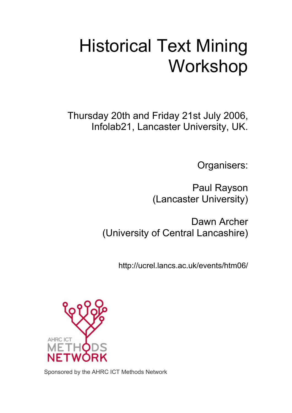# Historical Text Mining Workshop

Thursday 20th and Friday 21st July 2006, Infolab21, Lancaster University, UK.

Organisers:

Paul Rayson (Lancaster University)

Dawn Archer (University of Central Lancashire)

http://ucrel.lancs.ac.uk/events/htm06/



Sponsored by the AHRC ICT Methods Network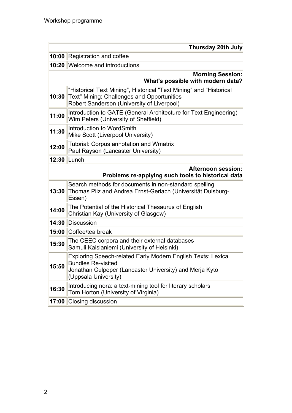| <b>Thursday 20th July</b>                                                       |                                                                                                                                                                                     |  |
|---------------------------------------------------------------------------------|-------------------------------------------------------------------------------------------------------------------------------------------------------------------------------------|--|
| 10:00                                                                           | Registration and coffee                                                                                                                                                             |  |
|                                                                                 | 10:20 Welcome and introductions                                                                                                                                                     |  |
| <b>Morning Session:</b><br>What's possible with modern data?                    |                                                                                                                                                                                     |  |
| 10:30                                                                           | "Historical Text Mining", Historical "Text Mining" and "Historical<br>Text" Mining: Challenges and Opportunities<br>Robert Sanderson (University of Liverpool)                      |  |
| 11:00                                                                           | Introduction to GATE (General Architecture for Text Engineering)<br>Wim Peters (University of Sheffield)                                                                            |  |
| 11:30                                                                           | Introduction to WordSmith<br>Mike Scott (Liverpool University)                                                                                                                      |  |
| 12:00                                                                           | Tutorial: Corpus annotation and Wmatrix<br>Paul Rayson (Lancaster University)                                                                                                       |  |
|                                                                                 | 12:30 Lunch                                                                                                                                                                         |  |
| <b>Afternoon session:</b><br>Problems re-applying such tools to historical data |                                                                                                                                                                                     |  |
| 13:30                                                                           | Search methods for documents in non-standard spelling<br>Thomas Pilz and Andrea Ernst-Gerlach (Universität Duisburg-<br>Essen)                                                      |  |
| 14:00                                                                           | The Potential of the Historical Thesaurus of English<br>Christian Kay (University of Glasgow)                                                                                       |  |
| 14:30                                                                           | <b>Discussion</b>                                                                                                                                                                   |  |
| 15:00                                                                           | Coffee/tea break                                                                                                                                                                    |  |
| 15:30                                                                           | The CEEC corpora and their external databases<br>Samuli Kaislaniemi (University of Helsinki)                                                                                        |  |
| 15:50                                                                           | <b>Exploring Speech-related Early Modern English Texts: Lexical</b><br><b>Bundles Re-visited</b><br>Jonathan Culpeper (Lancaster University) and Merja Kytö<br>(Uppsala University) |  |
| 16:30                                                                           | Introducing nora: a text-mining tool for literary scholars<br>Tom Horton (University of Virginia)                                                                                   |  |
| 17:00                                                                           | Closing discussion                                                                                                                                                                  |  |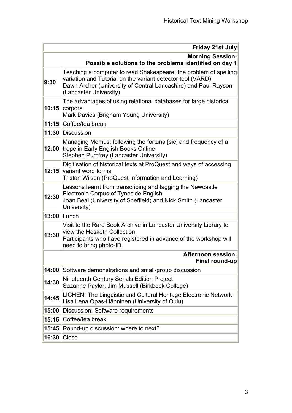| Possible solutions to the problems identified on day 1<br>Teaching a computer to read Shakespeare: the problem of spelling<br>variation and Tutorial on the variant detector tool (VARD)<br>9:30         | <b>Morning Session:</b> |
|----------------------------------------------------------------------------------------------------------------------------------------------------------------------------------------------------------|-------------------------|
|                                                                                                                                                                                                          |                         |
| Dawn Archer (University of Central Lancashire) and Paul Rayson<br>(Lancaster University)                                                                                                                 |                         |
| The advantages of using relational databases for large historical<br>10:15<br>corpora<br>Mark Davies (Brigham Young University)                                                                          |                         |
| 11:15 Coffee/tea break                                                                                                                                                                                   |                         |
| 11:30 Discussion                                                                                                                                                                                         |                         |
| Managing Momus: following the fortuna [sic] and frequency of a<br>trope in Early English Books Online<br>12:00<br><b>Stephen Pumfrey (Lancaster University)</b>                                          |                         |
| Digitisation of historical texts at ProQuest and ways of accessing<br>12:15<br>variant word forms<br>Tristan Wilson (ProQuest Information and Learning)                                                  |                         |
| Lessons learnt from transcribing and tagging the Newcastle<br><b>Electronic Corpus of Tyneside English</b><br>12:30<br>Joan Beal (University of Sheffield) and Nick Smith (Lancaster<br>University)      |                         |
| Lunch<br>13:00                                                                                                                                                                                           |                         |
| Visit to the Rare Book Archive in Lancaster University Library to<br>view the Hesketh Collection<br>13:30<br>Participants who have registered in advance of the workshop will<br>need to bring photo-ID. |                         |
| <b>Afternoon session:</b><br><b>Final round-up</b>                                                                                                                                                       |                         |
| 14:00<br>Software demonstrations and small-group discussion                                                                                                                                              |                         |
| <b>Nineteenth Century Serials Edition Project</b><br>14:30<br>Suzanne Paylor, Jim Mussell (Birkbeck College)                                                                                             |                         |
| LICHEN: The Linguistic and Cultural Heritage Electronic Network<br>14:45<br>Lisa Lena Opas-Hänninen (University of Oulu)                                                                                 |                         |
| 15:00<br>Discussion: Software requirements                                                                                                                                                               |                         |
| 15:15<br>Coffee/tea break                                                                                                                                                                                |                         |
| 15:45<br>Round-up discussion: where to next?                                                                                                                                                             |                         |
| Close<br>16:30                                                                                                                                                                                           |                         |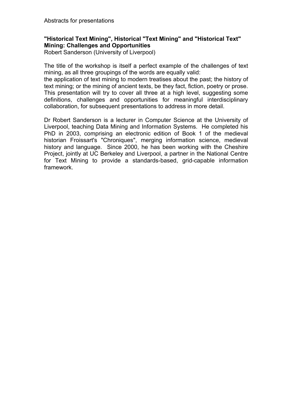# **"Historical Text Mining", Historical "Text Mining" and "Historical Text" Mining: Challenges and Opportunities**

Robert Sanderson (University of Liverpool)

The title of the workshop is itself a perfect example of the challenges of text mining, as all three groupings of the words are equally valid:

the application of text mining to modern treatises about the past; the history of text mining; or the mining of ancient texts, be they fact, fiction, poetry or prose. This presentation will try to cover all three at a high level, suggesting some definitions, challenges and opportunities for meaningful interdisciplinary collaboration, for subsequent presentations to address in more detail.

Dr Robert Sanderson is a lecturer in Computer Science at the University of Liverpool, teaching Data Mining and Information Systems. He completed his PhD in 2003, comprising an electronic edition of Book 1 of the medieval historian Froissart's "Chroniques", merging information science, medieval history and language. Since 2000, he has been working with the Cheshire Project, jointly at UC Berkeley and Liverpool, a partner in the National Centre for Text Mining to provide a standards-based, grid-capable information framework.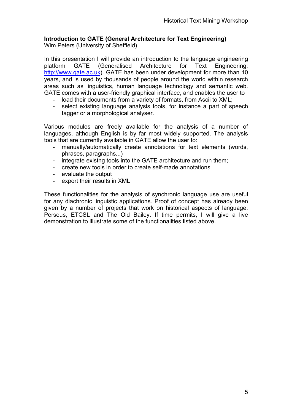# **Introduction to GATE (General Architecture for Text Engineering)**

Wim Peters (University of Sheffield)

In this presentation I will provide an introduction to the language engineering platform GATE (Generalised Architecture for Text Engineering; [http://www.gate.ac.uk\)](http://www.gate.ac.uk/). GATE has been under development for more than 10 years, and is used by thousands of people around the world within research areas such as linguistics, human language technology and semantic web. GATE comes with a user-friendly graphical interface, and enables the user to

- load their documents from a variety of formats, from Ascii to XML:
- select existing language analysis tools, for instance a part of speech tagger or a morphological analyser.

Various modules are freely available for the analysis of a number of languages, although English is by far most widely supported. The analysis tools that are currently available in GATE allow the user to:

- manually/automatically create annotations for text elements (words, phrases, paragraphs...)
- integrate existng tools into the GATE architecture and run them;
- create new tools in order to create self-made annotations
- evaluate the output
- export their results in XML

These functionalities for the analysis of synchronic language use are useful for any diachronic linguistic applications. Proof of concept has already been given by a number of projects that work on historical aspects of language: Perseus, ETCSL and The Old Bailey. If time permits, I will give a live demonstration to illustrate some of the functionalities listed above.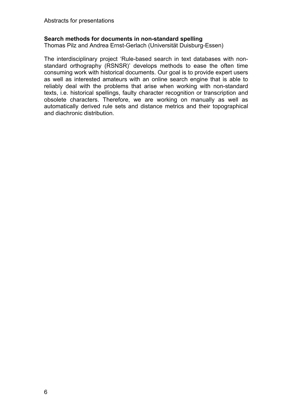# **Search methods for documents in non-standard spelling**

Thomas Pilz and Andrea Ernst-Gerlach (Universität Duisburg-Essen)

The interdisciplinary project 'Rule-based search in text databases with nonstandard orthography (RSNSR)' develops methods to ease the often time consuming work with historical documents. Our goal is to provide expert users as well as interested amateurs with an online search engine that is able to reliably deal with the problems that arise when working with non-standard texts, i.e. historical spellings, faulty character recognition or transcription and obsolete characters. Therefore, we are working on manually as well as automatically derived rule sets and distance metrics and their topographical and diachronic distribution.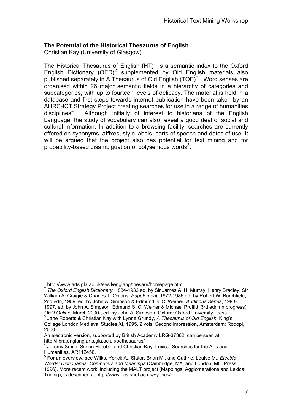# **The Potential of the Historical Thesaurus of English**

Christian Kay (University of Glasgow)

The Historical Thesaurus of English  $(HT)^{1}$  $(HT)^{1}$  $(HT)^{1}$  is a semantic index to the Oxford English Dictionary  $(OED)^2$  $(OED)^2$  supplemented by Old English materials also published separately in A Thesaurus of Old English  $(TOE)^3$  $(TOE)^3$ . Word senses are organised within 26 major semantic fields in a hierarchy of categories and subcategories, with up to fourteen levels of delicacy. The material is held in a database and first steps towards internet publication have been taken by an AHRC-ICT Strategy Project creating searches for use in a range of humanities disciplines<sup>[4](#page-6-3)</sup>. Although initially of interest to historians of the English Language, the study of vocabulary can also reveal a good deal of social and cultural information. In addition to a browsing facility, searches are currently offered on synonyms, affixes, style labels, parts of speech and dates of use. It will be argued that the project also has potential for text mining and for probability-based disambiguation of polysemous words<sup>[5](#page-6-4)</sup>.

 $\overline{a}$ <sup>1</sup> http://www.arts.gla.ac.uk/sesll/englang/thesaur/homepage.htm

<span id="page-6-1"></span><span id="page-6-0"></span><sup>&</sup>lt;sup>2</sup> The Oxford English Dictionary. 1884-1933 ed. by Sir James A. H. Murray, Henry Bradley, Sir William A. Craigie & Charles T. Onions; *Supplement*, 1972-1986 ed. by Robert W. Burchfield; 2nd edn, 1989, ed. by John A. Simpson & Edmund S. C. Weiner; *Additions Series*, 1993- 1997, ed. by John A. Simpson, Edmund S. C. Weiner & Michael Proffitt; 3rd edn (in progress) *OED Online*, March 2000-, ed. by John A. Simpson. Oxford: Oxford University Press.<br><sup>3</sup> Jane Roberts & Christian Kay with Lynne Grundy, *A Thesaurus of Old English*, King's

<span id="page-6-2"></span>College London Medieval Studies XI, 1995, 2 vols. Second impression, Amsterdam: Rodopi, 2000.

An electronic version, supported by British Academy LRG-37362, can be seen at http://libra.englang.arts.gla.ac.uk/oethesaurus/

<span id="page-6-3"></span><sup>&</sup>lt;sup>4</sup> Jeremy Smith, Simon Horobin and Christian Kay, Lexical Searches for the Arts and Humanities, AR112456.

<span id="page-6-4"></span><sup>5</sup> For an overview, see Wilks, Yorick A., Slator, Brian M., and Guthrie, Louise M., *Electric Words: Dictionaries, Computers and Meanings* (Cambridge, MA, and London: MIT Press, 1996). More recent work, including the MALT project (Mappings, Agglomerations and Lexical Tuning), is described at http://www.dcs.shef.ac.uk/~yorick/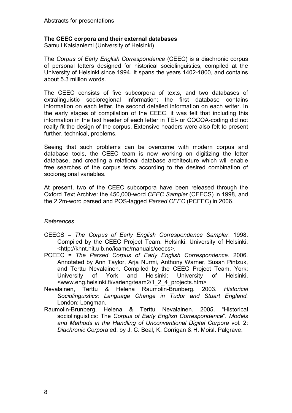# **The CEEC corpora and their external databases**

Samuli Kaislaniemi (University of Helsinki)

The *Corpus of Early English Correspondence* (CEEC) is a diachronic corpus of personal letters designed for historical sociolinguistics, compiled at the University of Helsinki since 1994. It spans the years 1402-1800, and contains about 5.3 million words.

The CEEC consists of five subcorpora of texts, and two databases of extralinguistic socioregional information: the first database contains information on each letter, the second detailed information on each writer. In the early stages of compilation of the CEEC, it was felt that including this information in the text header of each letter in TEI- or COCOA-coding did not really fit the design of the corpus. Extensive headers were also felt to present further, technical, problems.

Seeing that such problems can be overcome with modern corpus and database tools, the CEEC team is now working on digitizing the letter database, and creating a relational database architecture which will enable free searches of the corpus texts according to the desired combination of socioregional variables.

At present, two of the CEEC subcorpora have been released through the Oxford Text Archive: the 450,000-word *CEEC Sampler* (CEECS) in 1998, and the 2.2m-word parsed and POS-tagged *Parsed CEEC* (PCEEC) in 2006.

### *References*

- CEECS = *The Corpus of Early English Correspondence Sampler*. 1998. Compiled by the CEEC Project Team. Helsinki: University of Helsinki. <http://khnt.hit.uib.no/icame/manuals/ceecs>.
- PCEEC = *The Parsed Corpus of Early English Correspondence*. 2006. Annotated by Ann Taylor, Arja Nurmi, Anthony Warner, Susan Pintzuk, and Terttu Nevalainen. Compiled by the CEEC Project Team. York: University of York and Helsinki: University of Helsinki. <www.eng.helsinki.fi/varieng/team2/1\_2\_4\_projects.htm>
- Nevalainen, Terttu & Helena Raumolin-Brunberg. 2003. *Historical Sociolinguistics: Language Change in Tudor and Stuart England.*  London: Longman.
- Raumolin-Brunberg, Helena & Terttu Nevalainen. 2005. "Historical sociolinguistics: The *Corpus of Early English Correspondence*". *Models and Methods in the Handling of Unconventional Digital Corpora* vol. 2: *Diachronic Corpora* ed. by J. C. Beal, K. Corrigan & H. Moisl. Palgrave.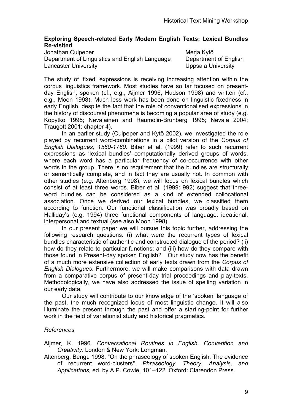# **Exploring Speech-related Early Modern English Texts: Lexical Bundles Re-visited**

Jonathan Culpeper **Meria Kytö** Meria Kytö Department of Linguistics and English Language Department of English Lancaster University **Lancaster University** 

The study of 'fixed' expressions is receiving increasing attention within the corpus linguistics framework. Most studies have so far focused on presentday English, spoken (cf., e.g., Aijmer 1996, Hudson 1998) and written (cf., e.g., Moon 1998). Much less work has been done on linguistic fixedness in early English, despite the fact that the role of conventionalised expressions in the history of discoursal phenomena is becoming a popular area of study (e.g. Kopytko 1995; Nevalainen and Raumolin-Brunberg 1995; Nevala 2004; Traugott 2001: chapter 4).

 In an earlier study (Culpeper and Kytö 2002), we investigated the role played by recurrent word-combinations in a pilot version of the *Corpus of English Dialogues, 1560-1760*. Biber et al. (1999) refer to such recurrent expressions as 'lexical bundles'–computationally derived groups of words, where each word has a particular frequency of co-occurrence with other words in the group. There is no requirement that the bundles are structurally or semantically complete, and in fact they are usually not. In common with other studies (e.g. Altenberg 1998), we will focus on lexical bundles which consist of at least three words. Biber et al. (1999: 992) suggest that threeword bundles can be considered as a kind of extended collocational association. Once we derived our lexical bundles, we classified them according to function. Our functional classification was broadly based on Halliday's (e.g. 1994) three functional components of language: ideational, interpersonal and textual (see also Moon 1998).

 In our present paper we will pursue this topic further, addressing the following research questions: (i) what were the recurrent types of lexical bundles characteristic of authentic and constructed dialogue of the period? (ii) how do they relate to particular functions; and (iii) how do they compare with those found in Present-day spoken English? Our study now has the benefit of a much more extensive collection of early texts drawn from the *Corpus of English Dialogues*. Furthermore, we will make comparisons with data drawn from a comparative corpus of present-day trial proceedings and play-texts. Methodologically, we have also addressed the issue of spelling variation in our early data.

 Our study will contribute to our knowledge of the 'spoken' language of the past, the much recognized locus of most linguistic change. It will also illuminate the present through the past and offer a starting-point for further work in the field of variationist study and historical pragmatics.

### *References*

Aijmer, K. 1996. *Conversational Routines in English. Convention and Creativity*. London & New York: Longman.

Altenberg, Bengt. 1998. "On the phraseology of spoken English: The evidence of recurrent word-clusters". *Phraseology. Theory, Analysis, and Applications,* ed. by A.P. Cowie, 101–122. Oxford: Clarendon Press.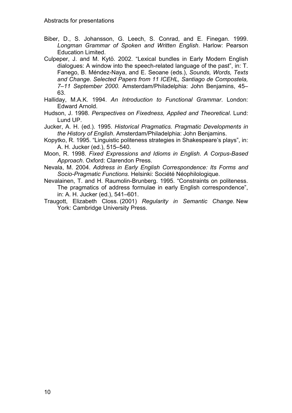- Biber, D., S. Johansson, G. Leech, S. Conrad, and E. Finegan. 1999. *Longman Grammar of Spoken and Written English*. Harlow: Pearson Education Limited.
- Culpeper, J. and M. Kytö. 2002. "Lexical bundles in Early Modern English dialogues: A window into the speech-related language of the past", in: T. Fanego, B. Méndez-Naya, and E. Seoane (eds.), *Sounds, Words, Texts and Change. Selected Papers from 11 ICEHL, Santiago de Compostela, 7–11 September 2000.* Amsterdam/Philadelphia: John Benjamins, 45– 63.
- Halliday, M.A.K. 1994. *An Introduction to Functional Grammar*. London: Edward Arnold.
- Hudson, J. 1998. *Perspectives on Fixedness, Applied and Theoretical*. Lund: Lund UP.
- Jucker, A. H. (ed.). 1995. *Historical Pragmatics. Pragmatic Developments in the History of English*. Amsterdam/Philadelphia: John Benjamins.
- Kopytko, R. 1995. "Linguistic politeness strategies in Shakespeare's plays", in: A. H. Jucker (ed.), 515–540.
- Moon, R. 1998. *Fixed Expressions and Idioms in English. A Corpus-Based Approach*. Oxford: Clarendon Press.
- Nevala, M. 2004. *Address in Early English Correspondence: Its Forms and Socio-Pragmatic Functions*. Helsinki: Société Néophilologique.
- Nevalainen, T. and H. Raumolin-Brunberg. 1995. "Constraints on politeness. The pragmatics of address formulae in early English correspondence", in: A. H. Jucker (ed.), 541–601.
- Traugott, Elizabeth Closs. (2001) *Regularity in Semantic Change.* New York: Cambridge University Press.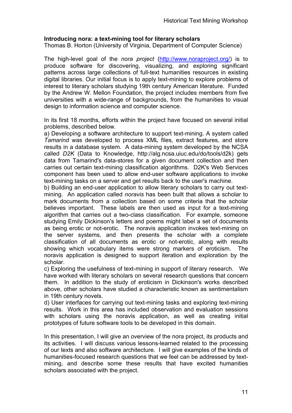# **Introducing nora: a text-mining tool for literary scholars**

Thomas B. Horton (University of Virginia, Department of Computer Science)

The high-level goal of the *nora project* [\(http://www.noraproject.org/\)](http://www.noraproject.org/) is to produce software for discovering, visualizing, and exploring significant patterns across large collections of full-text humanities resources in existing digital libraries. Our initial focus is to apply text-mining to explore problems of interest to literary scholars studying 19th century American literature. Funded by the Andrew W. Mellon Foundation, the project includes members from five universities with a wide-range of backgrounds, from the humanities to visual design to information science and computer science.

In its first 18 months, efforts within the project have focused on several initial problems, described below.

a) Developing a software architecture to support text-mining. A system called *Tamarind* was developed to process XML files, extract features, and store results in a database system. A data-mining system developed by the NCSA called *D2K* (Data to Knowledge, http://alg.ncsa.uiuc.edu/do/tools/d2k) gets data from Tamarind's data-stores for a given document collection and then carries out certain text-mining classification algorithms. D2K's Web Services component has been used to allow end-user software applications to invoke text-mining tasks on a server and get results back to the user's machine.

b) Building an end-user application to allow literary scholars to carry out textmining. An application called *noravis* has been built that allows a scholar to mark documents from a collection based on some criteria that the scholar believes important. These labels are then used as input for a text-mining algorithm that carries out a two-class classification. For example, someone studying Emily Dickinson's letters and poems might label a set of documents as being erotic or not-erotic. The noravis application invokes text-mining on the server systems, and then presents the scholar with a complete classification of all documents as erotic or not-erotic, along with results showing which vocabulary items were strong markers of eroticism. The noravis application is designed to support iteration and exploration by the scholar.

c) Exploring the usefulness of text-mining in support of literary research. We have worked with literary scholars on several research questions that concern them. In addition to the study of eroticism in Dickinson's works described above, other scholars have studied a characteristic known as sentimentalism in 19th century novels.

d) User interfaces for carrying out text-mining tasks and exploring text-mining results. Work in this area has included observation and evaluation sessions with scholars using the noravis application, as well as creating initial prototypes of future software tools to be developed in this domain.

In this presentation, I will give an overview of the nora project, its products and its activities. I will discuss various lessons-learned related to the processing of our texts and also software architecture. I will give examples of the kinds of humanities-focused research questions that we feel can be addressed by textmining, and describe some these results that have excited humanities scholars associated with the project.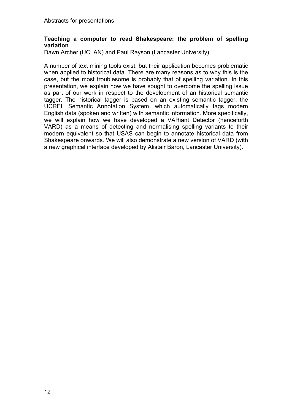# **Teaching a computer to read Shakespeare: the problem of spelling variation**

Dawn Archer (UCLAN) and Paul Rayson (Lancaster University)

A number of text mining tools exist, but their application becomes problematic when applied to historical data. There are many reasons as to why this is the case, but the most troublesome is probably that of spelling variation. In this presentation, we explain how we have sought to overcome the spelling issue as part of our work in respect to the development of an historical semantic tagger. The historical tagger is based on an existing semantic tagger, the UCREL Semantic Annotation System, which automatically tags modern English data (spoken and written) with semantic information. More specifically, we will explain how we have developed a VARiant Detector (henceforth VARD) as a means of detecting and normalising spelling variants to their modern equivalent so that USAS can begin to annotate historical data from Shakespeare onwards. We will also demonstrate a new version of VARD (with a new graphical interface developed by Alistair Baron, Lancaster University).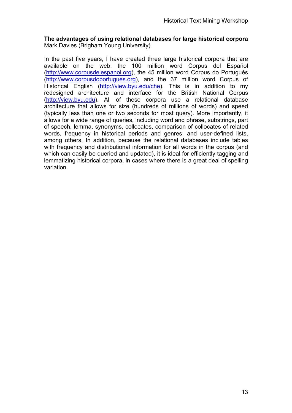# **The advantages of using relational databases for large historical corpora**  Mark Davies (Brigham Young University)

In the past five years, I have created three large historical corpora that are available on the web: the 100 million word Corpus del Español ([http://www.corpusdelespanol.org\)](http://www.corpusdelespanol.org/), the 45 million word Corpus do Português ([http://www.corpusdoportugues.org\)](http://www.corpusdoportugues.org/), and the 37 million word Corpus of Historical English (<http://view.byu.edu/che>). This is in addition to my redesigned architecture and interface for the British National Corpus ([http://view.byu.edu\)](http://view.byu.edu/). All of these corpora use a relational database architecture that allows for size (hundreds of millions of words) and speed (typically less than one or two seconds for most query). More importantly, it allows for a wide range of queries, including word and phrase, substrings, part of speech, lemma, synonyms, collocates, comparison of collocates of related words, frequency in historical periods and genres, and user-defined lists, among others. In addition, because the relational databases include tables with frequency and distributional information for all words in the corpus (and which can easily be queried and updated), it is ideal for efficiently tagging and lemmatizing historical corpora, in cases where there is a great deal of spelling variation.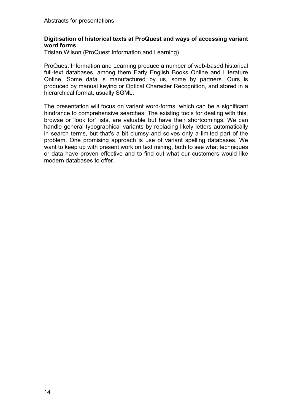### **Digitisation of historical texts at ProQuest and ways of accessing variant word forms**

Tristan Wilson (ProQuest Information and Learning)

ProQuest Information and Learning produce a number of web-based historical full-text databases, among them Early English Books Online and Literature Online. Some data is manufactured by us, some by partners. Ours is produced by manual keying or Optical Character Recognition, and stored in a hierarchical format, usually SGML.

The presentation will focus on variant word-forms, which can be a significant hindrance to comprehensive searches. The existing tools for dealing with this, browse or 'look for' lists, are valuable but have their shortcomings. We can handle general typographical variants by replacing likely letters automatically in search terms, but that's a bit clumsy and solves only a limited part of the problem. One promising approach is use of variant spelling databases. We want to keep up with present work on text mining, both to see what techniques or data have proven effective and to find out what our customers would like modern databases to offer.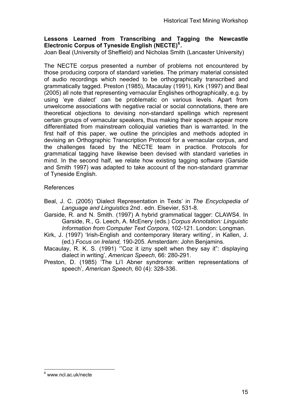# **Lessons Learned from Transcribing and Tagging the Newcastle Electronic Corpus of Tyneside English (NECTE)[6](#page-14-0) .**

Joan Beal (University of Sheffield) and Nicholas Smith (Lancaster University)

The NECTE corpus presented a number of problems not encountered by those producing corpora of standard varieties. The primary material consisted of audio recordings which needed to be orthographically transcribed and grammatically tagged. Preston (1985), Macaulay (1991), Kirk (1997) and Beal (2005) all note that representing vernacular Englishes orthographically, e.g. by using 'eye dialect' can be problematic on various levels. Apart from unwelcome associations with negative racial or social connotations, there are theoretical objections to devising non-standard spellings which represent certain groups of vernacular speakers, thus making their speech appear more differentiated from mainstream colloquial varieties than is warranted. In the first half of this paper, we outline the principles and methods adopted in devising an Orthographic Transcription Protocol for a vernacular corpus, and the challenges faced by the NECTE team in practice. Protocols for grammatical tagging have likewise been devised with standard varieties in mind. In the second half, we relate how existing tagging software (Garside and Smith 1997) was adapted to take account of the non-standard grammar of Tyneside English.

# References

- Beal, J. C. (2005) 'Dialect Representation in Texts' in *The Encyclopedia of Language and Linguistics* 2nd . edn. Elsevier, 531-8.
- Garside, R. and N. Smith. (1997) A hybrid grammatical tagger: CLAWS4. In Garside, R., G. Leech, A. McEnery (eds.) *Corpus Annotation: Linguistic Information from Computer Text Corpora*, 102-121. London: Longman.
- Kirk, J. (1997) 'Irish-English and contemporary literary writing', in Kallen, J. (ed.) *Focus on Ireland,* 190-205. Amsterdam: John Benjamins.
- Macaulay, R. K. S. (1991) '"Coz it izny spelt when they say it": displaying dialect in writing', *American Speech*, 66: 280-291.
- Preston, D. (1985) 'The Li'l Abner syndrome: written representations of speech', *American Speech,* 60 (4): 328-336.

<span id="page-14-0"></span> 6 www.ncl.ac.uk/necte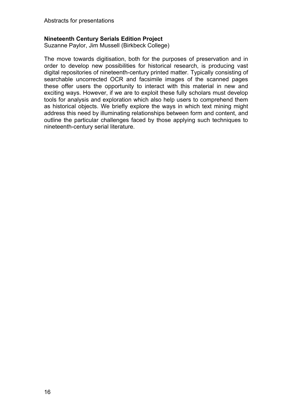# **Nineteenth Century Serials Edition Project**

Suzanne Paylor, Jim Mussell (Birkbeck College)

The move towards digitisation, both for the purposes of preservation and in order to develop new possibilities for historical research, is producing vast digital repositories of nineteenth-century printed matter. Typically consisting of searchable uncorrected OCR and facsimile images of the scanned pages these offer users the opportunity to interact with this material in new and exciting ways. However, if we are to exploit these fully scholars must develop tools for analysis and exploration which also help users to comprehend them as historical objects. We briefly explore the ways in which text mining might address this need by illuminating relationships between form and content, and outline the particular challenges faced by those applying such techniques to nineteenth-century serial literature.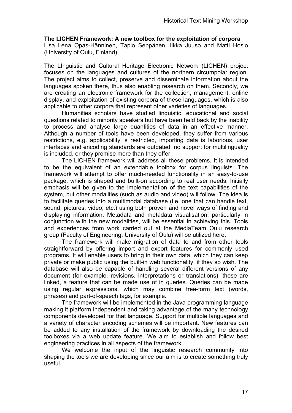# **The LICHEN Framework: A new toolbox for the exploitation of corpora**

Lisa Lena Opas-Hänninen, Tapio Seppänen, Ilkka Juuso and Matti Hosio (University of Oulu, Finland)

The LInguistic and Cultural Heritage Electronic Network (LICHEN) project focuses on the languages and cultures of the northern circumpolar region. The project aims to collect, preserve and disseminate information about the languages spoken there, thus also enabling research on them. Secondly, we are creating an electronic framework for the collection, management, online display, and exploitation of existing corpora of these languages, which is also applicable to other corpora that represent other varieties of languages.

Humanities scholars have studied linguistic, educational and social questions related to minority speakers but have been held back by the inability to process and analyse large quantities of data in an effective manner. Although a number of tools have been developed, they suffer from various restrictions, e.g. applicability is restricted, importing data is laborious, user interfaces and encoding standards are outdated, no support for multilinguality is included, or they promise more than they offer.

The LICHEN framework will address all these problems. It is intended to be the equivalent of an extendable toolbox for corpus linguists. The framework will attempt to offer much-needed functionality in an easy-to-use package, which is shaped and built-on according to real user needs. Initially emphasis will be given to the implementation of the text capabilities of the system, but other modalities (such as audio and video) will follow. The idea is to facilitate queries into a multimodal database (i.e. one that can handle text, sound, pictures, video, etc.) using both proven and novel ways of finding and displaying information. Metadata and metadata visualisation, particularly in conjunction with the new modalities, will be essential in achieving this. Tools and experiences from work carried out at the MediaTeam Oulu research group (Faculty of Engineering, University of Oulu) will be utilized here.

The framework will make migration of data to and from other tools straightforward by offering import and export features for commonly used programs. It will enable users to bring in their own data, which they can keep private or make public using the built-in web functionality, if they so wish. The database will also be capable of handling several different versions of any document (for example, revisions, interpretations or translations); these are linked, a feature that can be made use of in queries. Queries can be made using regular expressions, which may combine free-form text (words, phrases) and part-of-speech tags, for example.

 The framework will be implemented in the Java programming language making it platform independent and taking advantage of the many technology components developed for that language. Support for multiple languages and a variety of character encoding schemes will be important. New features can be added to any installation of the framework by downloading the desired toolboxes via a web update feature. We aim to establish and follow best engineering practices in all aspects of the framework.

We welcome the input of the linguistic research community into shaping the tools we are developing since our aim is to create something truly useful.